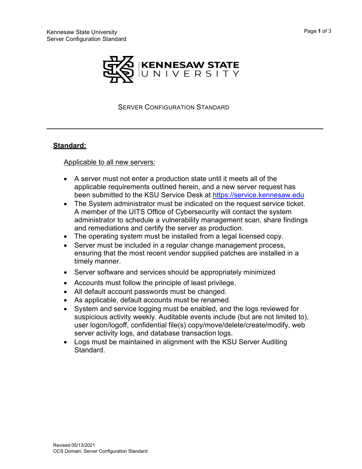



SERVER CONFIGURATION STANDARD

## **Standard:**

Applicable to all new servers:

- A server must not enter a production state until it meets all of the applicable requirements outlined herein, and a new server request has been submitted to the KSU Service Desk at [https://servi](mailto:%20service@kennesaw.edu)ce.kennesaw.edu
- The System administrator must be indicated on the request service ticket. A member of the UITS Office of Cybersecurity will contact the system administrator to schedule a vulnerability management scan, share findings and remediations and certify the server as production.
- The operating system must be installed from a legal licensed copy.
- Server must be included in a regular change management process, ensuring that the most recent vendor supplied patches are installed in a timely manner.
- Server software and services should be appropriately minimized
- Accounts must follow the principle of least privilege.
- All default account passwords must be changed.
- As applicable, default accounts must be renamed.
- System and service logging must be enabled, and the logs reviewed for suspicious activity weekly. Auditable events include (but are not limited to), user logon/logoff, confidential file(s) copy/move/delete/create/modify, web server activity logs, and database transaction logs.
- Logs must be maintained in alignment with the KSU Server Auditing **Standard**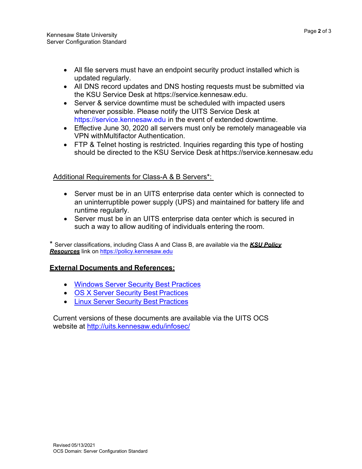- All file servers must have an endpoint security product installed which is updated regularly.
- All DNS record updates and DNS hosting requests must be submitted via the KSU Service Desk at https://service.kennesaw.edu.
- Server & service downtime must be scheduled with impacted users whenever possible. Please notify the UITS Service Desk at https://service.kennesaw.edu in the event of extended downtime.
- Effective June 30, 2020 all servers must only be remotely manageable via VPN withMultifactor Authentication.
- FTP & Telnet hosting is restricted. Inquiries regarding this type of hosting should be directed to the KSU Service Desk at https://service.kennesaw.edu

## Additional Requirements for Class-A & B Servers\*:

- Server must be in an UITS enterprise data center which is connected to an uninterruptible power supply (UPS) and maintained for battery life and runtime regularly.
- Server must be in an UITS enterprise data center which is secured in such a way to allow auditing of individuals entering the room.

\* Server classifications, including Class A and Class B, are available via the *KSU Policy Resources* link on [https://policy.kennesaw.edu](https://policy.kennesaw.edu/)

## **External Documents and References:**

- Windows Server Security Best [Practices](http://uits.kennesaw.edu/ocs/policy/directory.php)
- OS X [Server Security](http://uits.kennesaw.edu/ocs/policy/directory.php) Best Practices
- Linux Server Security Best [Practices](http://uits.kennesaw.edu/ocs/policy/directory.php)

Current versions of these documents are available via the UITS OCS website at<http://uits.kennesaw.edu/infosec/>